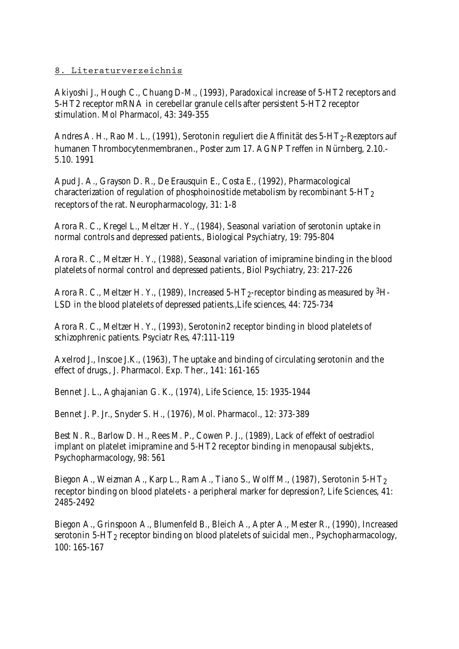## **8. Literaturverzeichnis**

Akiyoshi J., Hough C., Chuang D-M., (1993), Paradoxical increase of 5-HT2 receptors and 5-HT2 receptor mRNA in cerebellar granule cells after persistent 5-HT2 receptor stimulation. Mol Pharmacol, 43: 349-355

Andres A. H., Rao M. L., (1991), Serotonin reguliert die Affinität des 5-HT<sub>2</sub>-Rezeptors auf humanen Thrombocytenmembranen., Poster zum 17. AGNP Treffen in Nürnberg, 2.10.- 5.10. 1991

Apud J. A., Grayson D. R., De Erausquin E., Costa E., (1992), Pharmacological characterization of regulation of phosphoinositide metabolism by recombinant 5-HT2 receptors of the rat. Neuropharmacology, 31: 1-8

Arora R. C., Kregel L., Meltzer H. Y., (1984), Seasonal variation of serotonin uptake in normal controls and depressed patients., Biological Psychiatry, 19: 795-804

Arora R. C., Meltzer H. Y., (1988), Seasonal variation of imipramine binding in the blood platelets of normal control and depressed patients., Biol Psychiatry, 23: 217-226

Arora R. C., Meltzer H. Y., (1989), Increased 5-HT<sub>2</sub>-receptor binding as measured by <sup>3</sup>H-LSD in the blood platelets of depressed patients.,Life sciences, 44: 725-734

Arora R. C., Meltzer H. Y., (1993), Serotonin2 receptor binding in blood platelets of schizophrenic patients. Psyciatr Res, 47:111-119

Axelrod J., Inscoe J.K., (1963), The uptake and binding of circulating serotonin and the effect of drugs., J. Pharmacol. Exp. Ther., 141: 161-165

Bennet J. L., Aghajanian G. K., (1974), Life Science, 15: 1935-1944

Bennet J. P. Jr., Snyder S. H., (1976), Mol. Pharmacol., 12: 373-389

Best N. R., Barlow D. H., Rees M. P., Cowen P. J., (1989), Lack of effekt of oestradiol implant on platelet imipramine and 5-HT2 receptor binding in menopausal subjekts., Psychopharmacology, 98: 561

Biegon A., Weizman A., Karp L., Ram A., Tiano S., Wolff M., (1987), Serotonin 5-HT<sub>2</sub> receptor binding on blood platelets - a peripheral marker for depression?, Life Sciences, 41: 2485-2492

Biegon A., Grinspoon A., Blumenfeld B., Bleich A., Apter A., Mester R., (1990), Increased serotonin 5-HT<sub>2</sub> receptor binding on blood platelets of suicidal men., Psychopharmacology, 100: 165-167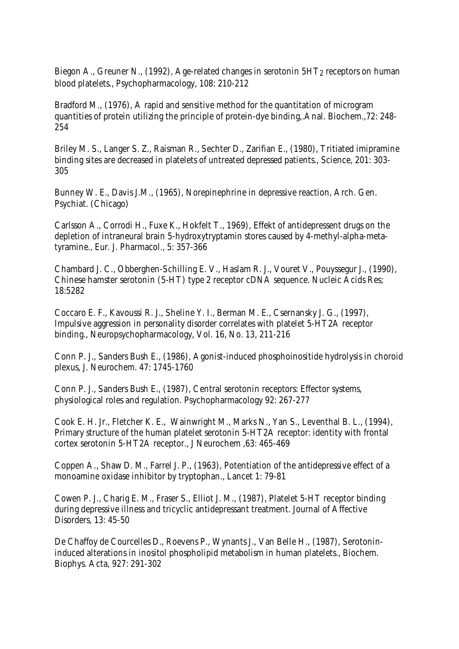Biegon A., Greuner N., (1992), Age-related changes in serotonin  $5HT<sub>2</sub>$  receptors on human blood platelets., Psychopharmacology, 108: 210-212

Bradford M., (1976), A rapid and sensitive method for the quantitation of microgram quantities of protein utilizing the principle of protein-dye binding,.Anal. Biochem.,72: 248- 254

Briley M. S., Langer S. Z., Raisman R., Sechter D., Zarifian E., (1980), Tritiated imipramine binding sites are decreased in platelets of untreated depressed patients., Science, 201: 303- 305

Bunney W. E., Davis J.M., (1965), Norepinephrine in depressive reaction, Arch. Gen. Psychiat. (Chicago)

Carlsson A., Corrodi H., Fuxe K., Hokfelt T., 1969), Effekt of antidepressent drugs on the depletion of intraneural brain 5-hydroxytryptamin stores caused by 4-methyl-alpha-metatyramine., Eur. J. Pharmacol., 5: 357-366

Chambard J. C., Obberghen-Schilling E. V., Haslam R. J., Vouret V., Pouyssegur J., (1990), Chinese hamster serotonin (5-HT) type 2 receptor cDNA sequence. Nucleic Acids Res; 18:5282

Coccaro E. F., Kavoussi R. J., Sheline Y. I., Berman M. E., Csernansky J. G., (1997), Impulsive aggression in personality disorder correlates with platelet 5-HT2A receptor binding., Neuropsychopharmacology, Vol. 16, No. 13, 211-216

Conn P. J., Sanders Bush E., (1986), Agonist-induced phosphoinositide hydrolysis in choroid plexus, J. Neurochem. 47: 1745-1760

Conn P. J., Sanders Bush E., (1987), Central serotonin receptors: Effector systems, physiological roles and regulation. Psychopharmacology 92: 267-277

Cook E. H. Jr., Fletcher K. E., Wainwright M., Marks N., Yan S., Leventhal B. L., (1994), Primary structure of the human platelet serotonin 5-HT2A receptor: identity with frontal cortex serotonin 5-HT2A receptor., J Neurochem ,63: 465-469

Coppen A., Shaw D. M., Farrel J. P., (1963), Potentiation of the antidepressive effect of a monoamine oxidase inhibitor by tryptophan., Lancet 1: 79-81

Cowen P. J., Charig E. M., Fraser S., Elliot J. M., (1987), Platelet 5-HT receptor binding during depressive illness and tricyclic antidepressant treatment. Journal of Affective Disorders, 13: 45-50

De Chaffoy de Courcelles D., Roevens P., Wynants J., Van Belle H., (1987), Serotonininduced alterations in inositol phospholipid metabolism in human platelets., Biochem. Biophys. Acta, 927: 291-302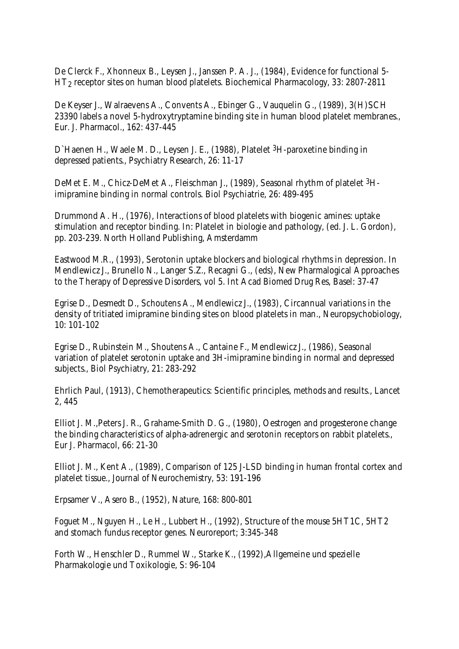De Clerck F., Xhonneux B., Leysen J., Janssen P. A. J., (1984), Evidence for functional 5- HT2 receptor sites on human blood platelets. Biochemical Pharmacology, 33: 2807-2811

De Keyser J., Walraevens A., Convents A., Ebinger G., Vauquelin G., (1989), 3(H)SCH 23390 labels a novel 5-hydroxytryptamine binding site in human blood platelet membranes., Eur. J. Pharmacol., 162: 437-445

D`Haenen H., Waele M. D., Leysen J. E., (1988), Platelet 3H-paroxetine binding in depressed patients., Psychiatry Research, 26: 11-17

DeMet E. M., Chicz-DeMet A., Fleischman J., (1989), Seasonal rhythm of platelet 3Himipramine binding in normal controls. Biol Psychiatrie, 26: 489-495

Drummond A. H., (1976), Interactions of blood platelets with biogenic amines: uptake stimulation and receptor binding. In: Platelet in biologie and pathology, (ed. J. L. Gordon), pp. 203-239. North Holland Publishing, Amsterdamm

Eastwood M.R., (1993), Serotonin uptake blockers and biological rhythms in depression. In Mendlewicz J., Brunello N., Langer S.Z., Recagni G., (eds), New Pharmalogical Approaches to the Therapy of Depressive Disorders, vol 5. Int Acad Biomed Drug Res, Basel: 37-47

Egrise D., Desmedt D., Schoutens A., Mendlewicz J., (1983), Circannual variations in the density of tritiated imipramine binding sites on blood platelets in man., Neuropsychobiology, 10: 101-102

Egrise D., Rubinstein M., Shoutens A., Cantaine F., Mendlewicz J., (1986), Seasonal variation of platelet serotonin uptake and 3H-imipramine binding in normal and depressed subjects., Biol Psychiatry, 21: 283-292

Ehrlich Paul, (1913), Chemotherapeutics: Scientific principles, methods and results., Lancet 2, 445

Elliot J. M.,Peters J. R., Grahame-Smith D. G., (1980), Oestrogen and progesterone change the binding characteristics of alpha-adrenergic and serotonin receptors on rabbit platelets., Eur J. Pharmacol, 66: 21-30

Elliot J. M., Kent A., (1989), Comparison of 125 J-LSD binding in human frontal cortex and platelet tissue., Journal of Neurochemistry, 53: 191-196

Erpsamer V., Asero B., (1952), Nature, 168: 800-801

Foguet M., Nguyen H., Le H., Lubbert H., (1992), Structure of the mouse 5HT1C, 5HT2 and stomach fundus receptor genes. Neuroreport; 3:345-348

Forth W., Henschler D., Rummel W., Starke K., (1992),Allgemeine und spezielle Pharmakologie und Toxikologie, S: 96-104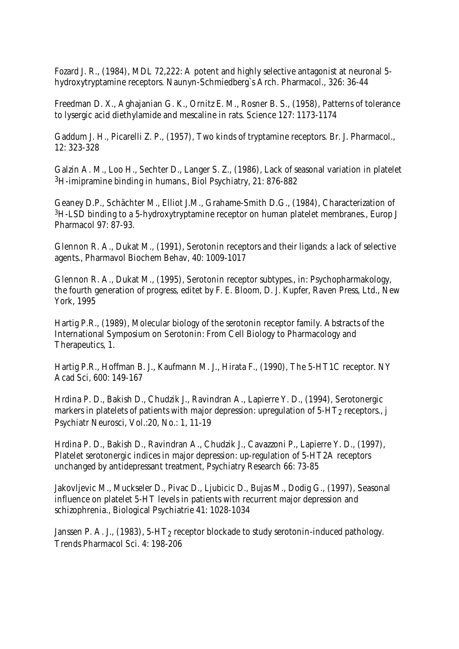Fozard J. R., (1984), MDL 72,222: A potent and highly selective antagonist at neuronal 5 hydroxytryptamine receptors. Naunyn-Schmiedberg`s Arch. Pharmacol., 326: 36-44

Freedman D. X., Aghajanian G. K., Ornitz E. M., Rosner B. S., (1958), Patterns of tolerance to lysergic acid diethylamide and mescaline in rats. Science 127: 1173-1174

Gaddum J. H., Picarelli Z. P., (1957), Two kinds of tryptamine receptors. Br. J. Pharmacol., 12: 323-328

Galzin A. M., Loo H., Sechter D., Langer S. Z., (1986), Lack of seasonal variation in platelet 3H-imipramine binding in humans., Biol Psychiatry, 21: 876-882

Geaney D.P., Schächter M., Elliot J.M., Grahame-Smith D.G., (1984), Characterization of 3H-LSD binding to a 5-hydroxytryptamine receptor on human platelet membranes., Europ J Pharmacol 97: 87-93.

Glennon R. A., Dukat M., (1991), Serotonin receptors and their ligands: a lack of selective agents., Pharmavol Biochem Behav, 40: 1009-1017

Glennon R. A., Dukat M., (1995), Serotonin receptor subtypes., in: Psychopharmakology, the fourth generation of progress, editet by F. E. Bloom, D. J. Kupfer, Raven Press, Ltd., New York, 1995

Hartig P.R., (1989), Molecular biology of the serotonin receptor family. Abstracts of the International Symposium on Serotonin: From Cell Biology to Pharmacology and Therapeutics, 1.

Hartig P.R., Hoffman B. J., Kaufmann M. J., Hirata F., (1990), The 5-HT1C receptor. NY Acad Sci, 600: 149-167

Hrdina P. D., Bakish D., Chudzik J., Ravindran A., Lapierre Y. D., (1994), Serotonergic markers in platelets of patients with major depression: upregulation of  $5-HT_2$  receptors., j Psychiatr Neurosci, Vol.:20, No.: 1, 11-19

Hrdina P. D., Bakish D., Ravindran A., Chudzik J., Cavazzoni P., Lapierre Y. D., (1997), Platelet serotonergic indices in major depression: up-regulation of 5-HT2A receptors unchanged by antidepressant treatment, Psychiatry Research 66: 73-85

Jakovljevic M., Muckseler D., Pivac D., Ljubicic D., Bujas M., Dodig G., (1997), Seasonal influence on platelet 5-HT levels in patients with recurrent major depression and schizophrenia., Biological Psychiatrie 41: 1028-1034

Janssen P. A. J., (1983),  $5-HT_2$  receptor blockade to study serotonin-induced pathology. Trends Pharmacol Sci. 4: 198-206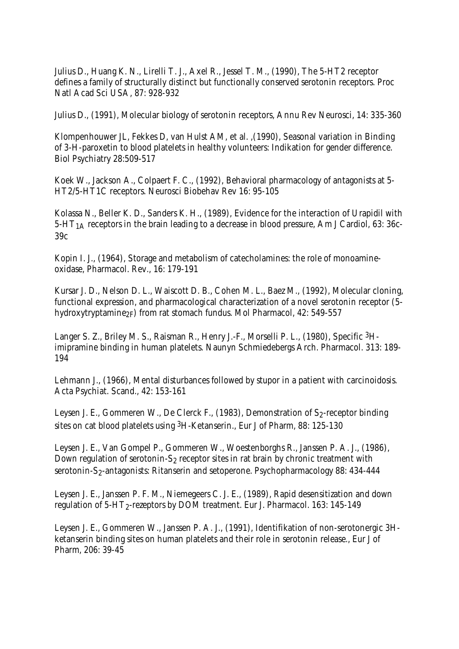Julius D., Huang K. N., Lirelli T. J., Axel R., Jessel T. M., (1990), The 5-HT2 receptor defines a family of structurally distinct but functionally conserved serotonin receptors. Proc Natl Acad Sci USA, 87: 928-932

Julius D., (1991), Molecular biology of serotonin receptors, Annu Rev Neurosci, 14: 335-360

Klompenhouwer JL, Fekkes D, van Hulst AM, et al. ,(1990), Seasonal variation in Binding of 3-H-paroxetin to blood platelets in healthy volunteers: Indikation for gender difference. Biol Psychiatry 28:509-517

Koek W., Jackson A., Colpaert F. C., (1992), Behavioral pharmacology of antagonists at 5- HT2/5-HT1C receptors. Neurosci Biobehav Rev 16: 95-105

Kolassa N., Beller K. D., Sanders K. H., (1989), Evidence for the interaction of Urapidil with 5-HT1A receptors in the brain leading to a decrease in blood pressure, Am J Cardiol, 63: 36c-39c

Kopin I. J., (1964), Storage and metabolism of catecholamines: the role of monoamineoxidase, Pharmacol. Rev., 16: 179-191

Kursar J. D., Nelson D. L., Waiscott D. B., Cohen M. L., Baez M., (1992), Molecular cloning, functional expression, and pharmacological characterization of a novel serotonin receptor (5 hydroxytryptamine<sub>2F</sub>) from rat stomach fundus. Mol Pharmacol, 42: 549-557

Langer S. Z., Briley M. S., Raisman R., Henry J.-F., Morselli P. L., (1980), Specific 3Himipramine binding in human platelets. Naunyn Schmiedebergs Arch. Pharmacol. 313: 189- 194

Lehmann J., (1966), Mental disturbances followed by stupor in a patient with carcinoidosis. Acta Psychiat. Scand., 42: 153-161

Leysen J. E., Gommeren W., De Clerck F., (1983), Demonstration of  $S_2$ -receptor binding sites on cat blood platelets using 3H-Ketanserin., Eur J of Pharm, 88: 125-130

Leysen J. E., Van Gompel P., Gommeren W., Woestenborghs R., Janssen P. A. J., (1986), Down regulation of serotonin-S<sub>2</sub> receptor sites in rat brain by chronic treatment with serotonin-S<sub>2</sub>-antagonists: Ritanserin and setoperone. Psychopharmacology 88: 434-444

Leysen J. E., Janssen P. F. M., Niemegeers C. J. E., (1989), Rapid desensitization and down regulation of 5-HT<sub>2</sub>-rezeptors by DOM treatment. Eur J. Pharmacol. 163: 145-149

Leysen J. E., Gommeren W., Janssen P. A. J., (1991), Identifikation of non-serotonergic 3Hketanserin binding sites on human platelets and their role in serotonin release., Eur J of Pharm, 206: 39-45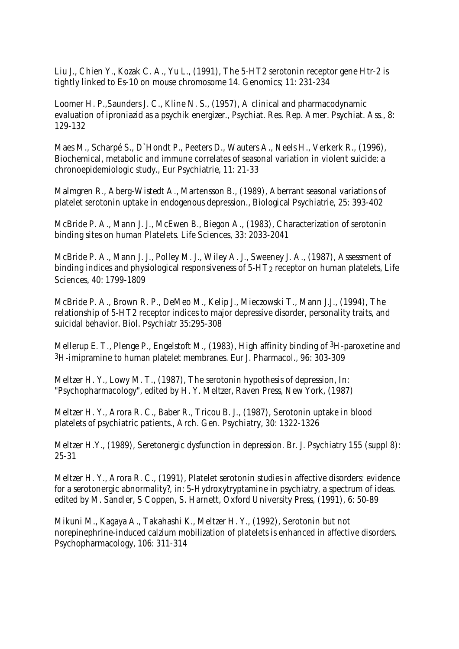Liu J., Chien Y., Kozak C. A., Yu L., (1991), The 5-HT2 serotonin receptor gene Htr-2 is tightly linked to Es-10 on mouse chromosome 14. Genomics; 11: 231-234

Loomer H. P.,Saunders J. C., Kline N. S., (1957), A clinical and pharmacodynamic evaluation of iproniazid as a psychik energizer., Psychiat. Res. Rep. Amer. Psychiat. Ass., 8: 129-132

Maes M., Scharpé S., D`Hondt P., Peeters D., Wauters A., Neels H., Verkerk R., (1996), Biochemical, metabolic and immune correlates of seasonal variation in violent suicide: a chronoepidemiologic study., Eur Psychiatrie, 11: 21-33

Malmgren R., Aberg-Wistedt A., Martensson B., (1989), Aberrant seasonal variations of platelet serotonin uptake in endogenous depression., Biological Psychiatrie, 25: 393-402

McBride P. A., Mann J. J., McEwen B., Biegon A., (1983), Characterization of serotonin binding sites on human Platelets. Life Sciences, 33: 2033-2041

McBride P. A., Mann J. J., Polley M. J., Wiley A. J., Sweeney J. A., (1987), Assessment of binding indices and physiological responsiveness of  $5-HT<sub>2</sub>$  receptor on human platelets, Life Sciences, 40: 1799-1809

McBride P. A., Brown R. P., DeMeo M., Kelip J., Mieczowski T., Mann J.J., (1994), The relationship of 5-HT2 receptor indices to major depressive disorder, personality traits, and suicidal behavior. Biol. Psychiatr 35:295-308

Mellerup E. T., Plenge P., Engelstoft M., (1983), High affinity binding of <sup>3</sup>H-paroxetine and 3H-imipramine to human platelet membranes. Eur J. Pharmacol., 96: 303-309

Meltzer H. Y., Lowy M. T., (1987), The serotonin hypothesis of depression, In: "Psychopharmacology", edited by H. Y. Meltzer, Raven Press, New York, (1987)

Meltzer H. Y., Arora R. C., Baber R., Tricou B. J., (1987), Serotonin uptake in blood platelets of psychiatric patients., Arch. Gen. Psychiatry, 30: 1322-1326

Meltzer H.Y., (1989), Seretonergic dysfunction in depression. Br. J. Psychiatry 155 (suppl 8): 25-31

Meltzer H. Y., Arora R. C., (1991), Platelet serotonin studies in affective disorders: evidence for a serotonergic abnormality?, in: 5-Hydroxytryptamine in psychiatry, a spectrum of ideas. edited by M. Sandler, S Coppen, S. Harnett, Oxford University Press, (1991), 6: 50-89

Mikuni M., Kagaya A., Takahashi K., Meltzer H. Y., (1992), Serotonin but not norepinephrine-induced calzium mobilization of platelets is enhanced in affective disorders. Psychopharmacology, 106: 311-314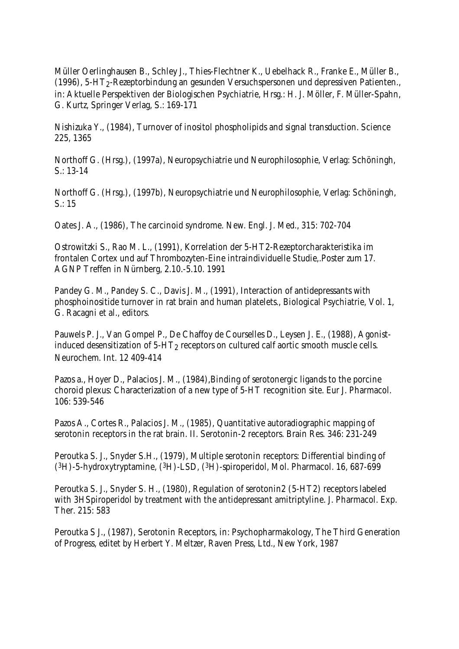Müller Oerlinghausen B., Schley J., Thies-Flechtner K., Uebelhack R., Franke E., Müller B., (1996), 5-HT2-Rezeptorbindung an gesunden Versuchspersonen und depressiven Patienten., in: Aktuelle Perspektiven der Biologischen Psychiatrie, Hrsg.: H. J. Möller, F. Müller-Spahn, G. Kurtz, Springer Verlag, S.: 169-171

Nishizuka Y., (1984), Turnover of inositol phospholipids and signal transduction. Science 225, 1365

Northoff G. (Hrsg.), (1997a), Neuropsychiatrie und Neurophilosophie, Verlag: Schöningh, S.: 13-14

Northoff G. (Hrsg.), (1997b), Neuropsychiatrie und Neurophilosophie, Verlag: Schöningh,  $S: 15$ 

Oates J. A., (1986), The carcinoid syndrome. New. Engl. J. Med., 315: 702-704

Ostrowitzki S., Rao M. L., (1991), Korrelation der 5-HT2-Rezeptorcharakteristika im frontalen Cortex und auf Thrombozyten-Eine intraindividuelle Studie,.Poster zum 17. AGNP Treffen in Nürnberg, 2.10.-5.10. 1991

Pandey G. M., Pandey S. C., Davis J. M., (1991), Interaction of antidepressants with phosphoinositide turnover in rat brain and human platelets., Biological Psychiatrie, Vol. 1, G. Racagni et al., editors.

Pauwels P. J., Van Gompel P., De Chaffoy de Courselles D., Leysen J. E., (1988), Agonistinduced desensitization of 5-HT<sub>2</sub> receptors on cultured calf aortic smooth muscle cells. Neurochem. Int. 12 409-414

Pazos a., Hoyer D., Palacios J. M., (1984),Binding of serotonergic ligands to the porcine choroid plexus: Characterization of a new type of 5-HT recognition site. Eur J. Pharmacol. 106: 539-546

Pazos A., Cortes R., Palacios J. M., (1985), Quantitative autoradiographic mapping of serotonin receptors in the rat brain. II. Serotonin-2 receptors. Brain Res. 346: 231-249

Peroutka S. J., Snyder S.H., (1979), Multiple serotonin receptors: Differential binding of (3H)-5-hydroxytryptamine, (3H)-LSD, (3H)-spiroperidol, Mol. Pharmacol. 16, 687-699

Peroutka S. J., Snyder S. H., (1980), Regulation of serotonin2 (5-HT2) receptors labeled with 3HSpiroperidol by treatment with the antidepressant amitriptyline. J. Pharmacol. Exp. Ther. 215: 583

Peroutka S J., (1987), Serotonin Receptors, in: Psychopharmakology, The Third Generation of Progress, editet by Herbert Y. Meltzer, Raven Press, Ltd., New York, 1987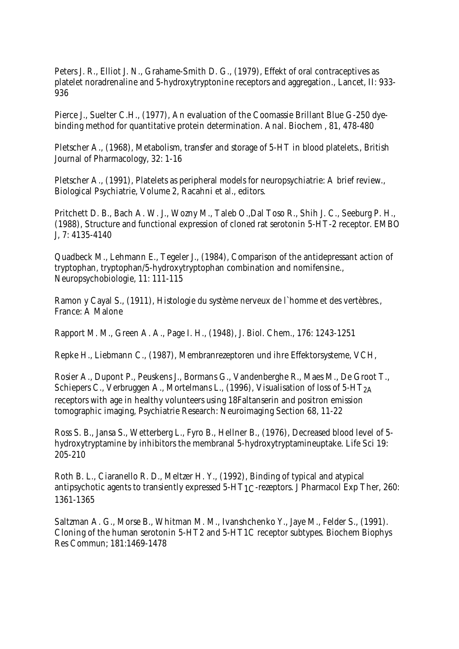Peters J. R., Elliot J. N., Grahame-Smith D. G., (1979), Effekt of oral contraceptives as platelet noradrenaline and 5-hydroxytryptonine receptors and aggregation., Lancet, II: 933- 936

Pierce J., Suelter C.H., (1977), An evaluation of the Coomassie Brillant Blue G-250 dyebinding method for quantitative protein determination. Anal. Biochem , 81, 478-480

Pletscher A., (1968), Metabolism, transfer and storage of 5-HT in blood platelets., British Journal of Pharmacology, 32: 1-16

Pletscher A., (1991), Platelets as peripheral models for neuropsychiatrie: A brief review., Biological Psychiatrie, Volume 2, Racahni et al., editors.

Pritchett D. B., Bach A. W. J., Wozny M., Taleb O.,Dal Toso R., Shih J. C., Seeburg P. H., (1988), Structure and functional expression of cloned rat serotonin 5-HT-2 receptor. EMBO J, 7: 4135-4140

Quadbeck M., Lehmann E., Tegeler J., (1984), Comparison of the antidepressant action of tryptophan, tryptophan/5-hydroxytryptophan combination and nomifensine., Neuropsychobiologie, 11: 111-115

Ramon y Cayal S., (1911), Histologie du système nerveux de l`homme et des vertèbres., France: A Malone

Rapport M. M., Green A. A., Page I. H., (1948), J. Biol. Chem., 176: 1243-1251

Repke H., Liebmann C., (1987), Membranrezeptoren und ihre Effektorsysteme, VCH,

Rosier A., Dupont P., Peuskens J., Bormans G., Vandenberghe R., Maes M., De Groot T., Schiepers C., Verbruggen A., Mortelmans L., (1996), Visualisation of loss of  $5-HT<sub>2</sub>A$ receptors with age in healthy volunteers using 18Faltanserin and positron emission tomographic imaging, Psychiatrie Research: Neuroimaging Section 68, 11-22

Ross S. B., Jansa S., Wetterberg L., Fyro B., Hellner B., (1976), Decreased blood level of 5 hydroxytryptamine by inhibitors the membranal 5-hydroxytryptamineuptake. Life Sci 19: 205-210

Roth B. L., Ciaranello R. D., Meltzer H. Y., (1992), Binding of typical and atypical antipsychotic agents to transiently expressed 5-HT1C-rezeptors. J Pharmacol Exp Ther, 260: 1361-1365

Saltzman A. G., Morse B., Whitman M. M., Ivanshchenko Y., Jaye M., Felder S., (1991). Cloning of the human serotonin 5-HT2 and 5-HT1C receptor subtypes. Biochem Biophys Res Commun; 181:1469-1478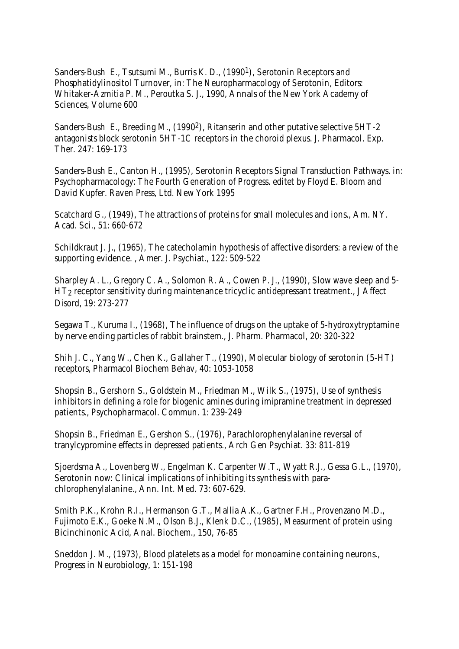Sanders-Bush E., Tsutsumi M., Burris K. D., (19901), Serotonin Receptors and Phosphatidylinositol Turnover, in: The Neuropharmacology of Serotonin, Editors: Whitaker-Azmitia P. M., Peroutka S. J., 1990, Annals of the New York Academy of Sciences, Volume 600

Sanders-Bush E., Breeding M., (1990<sup>2</sup>), Ritanserin and other putative selective 5HT-2 antagonists block serotonin 5HT-1C receptors in the choroid plexus. J. Pharmacol. Exp. Ther. 247: 169-173

Sanders-Bush E., Canton H., (1995), Serotonin Receptors Signal Transduction Pathways. in: Psychopharmacology: The Fourth Generation of Progress. editet by Floyd E. Bloom and David Kupfer. Raven Press, Ltd. New York 1995

Scatchard G., (1949), The attractions of proteins for small molecules and ions., Am. NY. Acad. Sci., 51: 660-672

Schildkraut J. J., (1965), The catecholamin hypothesis of affective disorders: a review of the supporting evidence. , Amer. J. Psychiat., 122: 509-522

Sharpley A. L., Gregory C. A., Solomon R. A., Cowen P. J., (1990), Slow wave sleep and 5- HT2 receptor sensitivity during maintenance tricyclic antidepressant treatment., J Affect Disord, 19: 273-277

Segawa T., Kuruma I., (1968), The influence of drugs on the uptake of 5-hydroxytryptamine by nerve ending particles of rabbit brainstem., J. Pharm. Pharmacol, 20: 320-322

Shih J. C., Yang W., Chen K., Gallaher T., (1990), Molecular biology of serotonin (5-HT) receptors, Pharmacol Biochem Behav, 40: 1053-1058

Shopsin B., Gershorn S., Goldstein M., Friedman M., Wilk S., (1975), Use of synthesis inhibitors in defining a role for biogenic amines during imipramine treatment in depressed patients., Psychopharmacol. Commun. 1: 239-249

Shopsin B., Friedman E., Gershon S., (1976), Parachlorophenylalanine reversal of tranylcypromine effects in depressed patients., Arch Gen Psychiat. 33: 811-819

Sjoerdsma A., Lovenberg W., Engelman K. Carpenter W.T., Wyatt R.J., Gessa G.L., (1970), Serotonin now: Clinical implications of inhibiting its synthesis with parachlorophenylalanine., Ann. Int. Med. 73: 607-629.

Smith P.K., Krohn R.I., Hermanson G.T., Mallia A.K., Gartner F.H., Provenzano M.D., Fujimoto E.K., Goeke N.M., Olson B.J., Klenk D.C., (1985), Measurment of protein using Bicinchinonic Acid, Anal. Biochem., 150, 76-85

Sneddon J. M., (1973), Blood platelets as a model for monoamine containing neurons., Progress in Neurobiology, 1: 151-198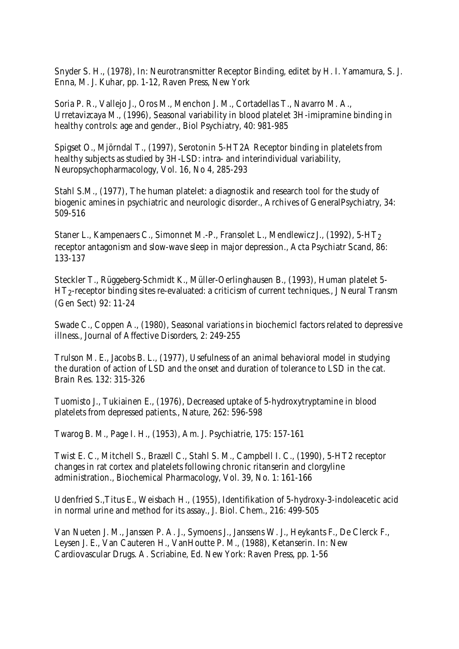Snyder S. H., (1978), In: Neurotransmitter Receptor Binding, editet by H. I. Yamamura, S. J. Enna, M. J. Kuhar, pp. 1-12, Raven Press, New York

Soria P. R., Vallejo J., Oros M., Menchon J. M., Cortadellas T., Navarro M. A., Urretavizcaya M., (1996), Seasonal variability in blood platelet 3H-imipramine binding in healthy controls: age and gender., Biol Psychiatry, 40: 981-985

Spigset O., Mjörndal T., (1997), Serotonin 5-HT2A Receptor binding in platelets from healthy subjects as studied by 3H-LSD: intra- and interindividual variability, Neuropsychopharmacology, Vol. 16, No 4, 285-293

Stahl S.M., (1977), The human platelet: a diagnostik and research tool for the study of biogenic amines in psychiatric and neurologic disorder., Archives of GeneralPsychiatry, 34: 509-516

Staner L., Kampenaers C., Simonnet M.-P., Fransolet L., Mendlewicz J., (1992), 5-HT2 receptor antagonism and slow-wave sleep in major depression., Acta Psychiatr Scand, 86: 133-137

Steckler T., Rüggeberg-Schmidt K., Müller-Oerlinghausen B., (1993), Human platelet 5- HT2-receptor binding sites re-evaluated: a criticism of current techniques., J Neural Transm (Gen Sect) 92: 11-24

Swade C., Coppen A., (1980), Seasonal variations in biochemicl factors related to depressive illness., Journal of Affective Disorders, 2: 249-255

Trulson M. E., Jacobs B. L., (1977), Usefulness of an animal behavioral model in studying the duration of action of LSD and the onset and duration of tolerance to LSD in the cat. Brain Res. 132: 315-326

Tuomisto J., Tukiainen E., (1976), Decreased uptake of 5-hydroxytryptamine in blood platelets from depressed patients., Nature, 262: 596-598

Twarog B. M., Page I. H., (1953), Am. J. Psychiatrie, 175: 157-161

Twist E. C., Mitchell S., Brazell C., Stahl S. M., Campbell I. C., (1990), 5-HT2 receptor changes in rat cortex and platelets following chronic ritanserin and clorgyline administration., Biochemical Pharmacology, Vol. 39, No. 1: 161-166

Udenfried S.,Titus E., Weisbach H., (1955), Identifikation of 5-hydroxy-3-indoleacetic acid in normal urine and method for its assay., J. Biol. Chem., 216: 499-505

Van Nueten J. M., Janssen P. A. J., Symoens J., Janssens W. J., Heykants F., De Clerck F., Leysen J. E., Van Cauteren H., VanHoutte P. M., (1988), Ketanserin. In: New Cardiovascular Drugs. A. Scriabine, Ed. New York: Raven Press, pp. 1-56